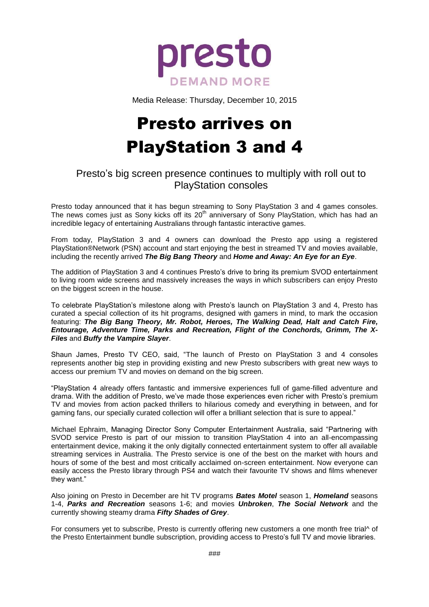

Media Release: Thursday, December 10, 2015

# Presto arrives on PlayStation 3 and 4

## Presto's big screen presence continues to multiply with roll out to PlayStation consoles

Presto today announced that it has begun streaming to Sony PlayStation 3 and 4 games consoles. The news comes just as Sony kicks off its 20<sup>th</sup> anniversary of Sony PlayStation, which has had an incredible legacy of entertaining Australians through fantastic interactive games.

From today, PlayStation 3 and 4 owners can download the Presto app using a registered PlayStation®Network (PSN) account and start enjoying the best in streamed TV and movies available, including the recently arrived *The Big Bang Theory* and *Home and Away: An Eye for an Eye*.

The addition of PlayStation 3 and 4 continues Presto's drive to bring its premium SVOD entertainment to living room wide screens and massively increases the ways in which subscribers can enjoy Presto on the biggest screen in the house.

To celebrate PlayStation's milestone along with Presto's launch on PlayStation 3 and 4, Presto has curated a special collection of its hit programs, designed with gamers in mind, to mark the occasion featuring: *The Big Bang Theory, Mr. Robot, Heroes, The Walking Dead, Halt and Catch Fire, Entourage, Adventure Time, Parks and Recreation, Flight of the Conchords, Grimm, The X-Files* and *Buffy the Vampire Slayer*.

Shaun James, Presto TV CEO, said, "The launch of Presto on PlayStation 3 and 4 consoles represents another big step in providing existing and new Presto subscribers with great new ways to access our premium TV and movies on demand on the big screen.

"PlayStation 4 already offers fantastic and immersive experiences full of game-filled adventure and drama. With the addition of Presto, we've made those experiences even richer with Presto's premium TV and movies from action packed thrillers to hilarious comedy and everything in between, and for gaming fans, our specially curated collection will offer a brilliant selection that is sure to appeal."

Michael Ephraim, Managing Director Sony Computer Entertainment Australia, said "Partnering with SVOD service Presto is part of our mission to transition PlayStation 4 into an all-encompassing entertainment device, making it the only digitally connected entertainment system to offer all available streaming services in Australia. The Presto service is one of the best on the market with hours and hours of some of the best and most critically acclaimed on-screen entertainment. Now everyone can easily access the Presto library through PS4 and watch their favourite TV shows and films whenever they want."

Also joining on Presto in December are hit TV programs *Bates Motel* season 1, *Homeland* seasons 1-4, *Parks and Recreation* seasons 1-6; and movies *Unbroken*, *The Social Network* and the currently showing steamy drama *Fifty Shades of Grey*.

For consumers yet to subscribe, Presto is currently offering new customers a one month free trial^ of the Presto Entertainment bundle subscription, providing access to Presto's full TV and movie libraries.